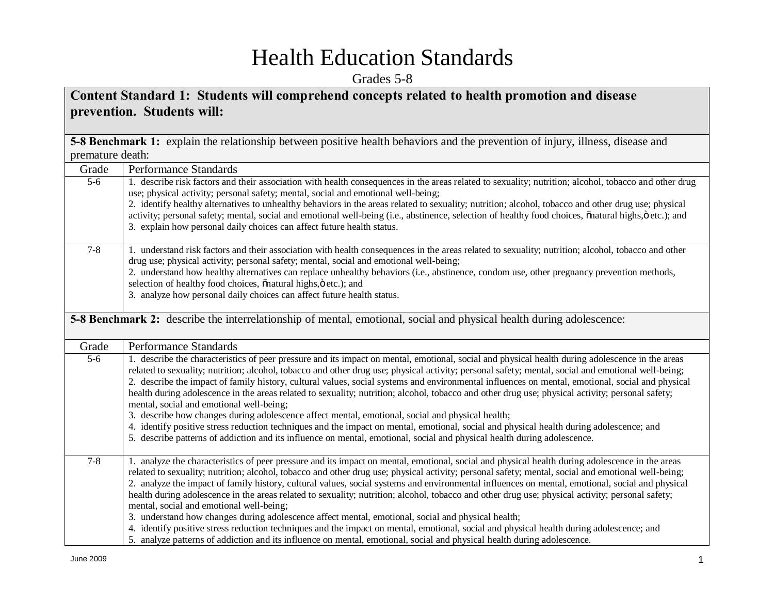## Health Education Standards

Grades 5-8

## **Content Standard 1: Students will comprehend concepts related to health promotion and disease prevention. Students will:**

**5-8 Benchmark 1:** explain the relationship between positive health behaviors and the prevention of injury, illness, disease and premature death: Grade Performance Standards 5-6 1. describe risk factors and their association with health consequences in the areas related to sexuality; nutrition; alcohol, tobacco and other drug use; physical activity; personal safety; mental, social and emotional well-being; 2. identify healthy alternatives to unhealthy behaviors in the areas related to sexuality; nutrition; alcohol, tobacco and other drug use; physical activity; personal safety; mental, social and emotional well-being (i.e., abstinence, selection of healthy food choices, "natural highs," etc.); and 3. explain how personal daily choices can affect future health status. 7-8 1. understand risk factors and their association with health consequences in the areas related to sexuality; nutrition; alcohol, tobacco and other drug use; physical activity; personal safety; mental, social and emotional well-being; 2. understand how healthy alternatives can replace unhealthy behaviors (i.e., abstinence, condom use, other pregnancy prevention methods, selection of healthy food choices,  $\tilde{\text{onatural}}$  highs, $\ddot{\text{o}}$  etc.); and 3. analyze how personal daily choices can affect future health status. **5-8 Benchmark 2:** describe the interrelationship of mental, emotional, social and physical health during adolescence: Grade Performance Standards 5-6 1. describe the characteristics of peer pressure and its impact on mental, emotional, social and physical health during adolescence in the areas related to sexuality; nutrition; alcohol, tobacco and other drug use; physical activity; personal safety; mental, social and emotional well-being; 2. describe the impact of family history, cultural values, social systems and environmental influences on mental, emotional, social and physical health during adolescence in the areas related to sexuality; nutrition; alcohol, tobacco and other drug use; physical activity; personal safety; mental, social and emotional well-being; 3. describe how changes during adolescence affect mental, emotional, social and physical health; 4. identify positive stress reduction techniques and the impact on mental, emotional, social and physical health during adolescence; and 5. describe patterns of addiction and its influence on mental, emotional, social and physical health during adolescence. 7-8 1. analyze the characteristics of peer pressure and its impact on mental, emotional, social and physical health during adolescence in the areas related to sexuality; nutrition; alcohol, tobacco and other drug use; physical activity; personal safety; mental, social and emotional well-being; 2. analyze the impact of family history, cultural values, social systems and environmental influences on mental, emotional, social and physical health during adolescence in the areas related to sexuality; nutrition; alcohol, tobacco and other drug use; physical activity; personal safety; mental, social and emotional well-being; 3. understand how changes during adolescence affect mental, emotional, social and physical health; 4. identify positive stress reduction techniques and the impact on mental, emotional, social and physical health during adolescence; and 5. analyze patterns of addiction and its influence on mental, emotional, social and physical health during adolescence.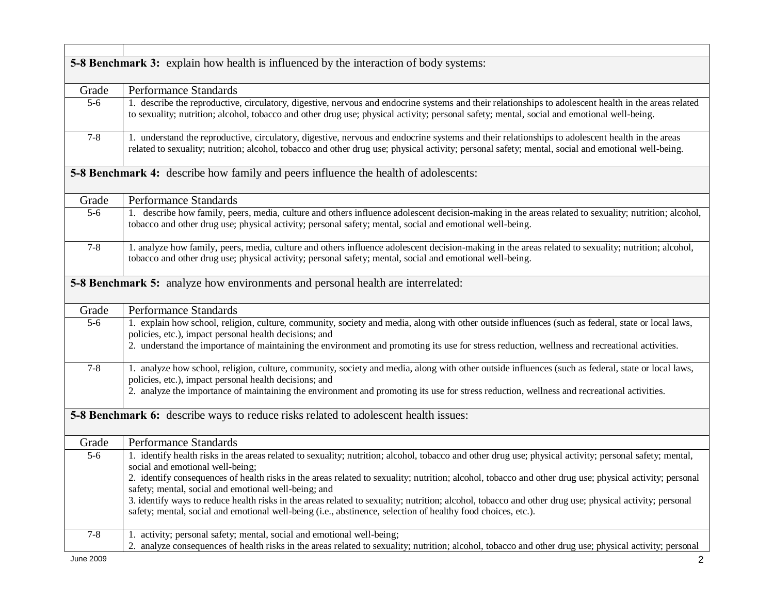| <b>5-8 Benchmark 3:</b> explain how health is influenced by the interaction of body systems: |                                                                                                                                                                                                                                                                                                                                                               |  |
|----------------------------------------------------------------------------------------------|---------------------------------------------------------------------------------------------------------------------------------------------------------------------------------------------------------------------------------------------------------------------------------------------------------------------------------------------------------------|--|
| Grade                                                                                        | Performance Standards                                                                                                                                                                                                                                                                                                                                         |  |
| $5-6$                                                                                        | 1. describe the reproductive, circulatory, digestive, nervous and endocrine systems and their relationships to adolescent health in the areas related<br>to sexuality; nutrition; alcohol, tobacco and other drug use; physical activity; personal safety; mental, social and emotional well-being.                                                           |  |
| $7 - 8$                                                                                      | 1. understand the reproductive, circulatory, digestive, nervous and endocrine systems and their relationships to adolescent health in the areas<br>related to sexuality; nutrition; alcohol, tobacco and other drug use; physical activity; personal safety; mental, social and emotional well-being.                                                         |  |
|                                                                                              | <b>5-8 Benchmark 4:</b> describe how family and peers influence the health of adolescents:                                                                                                                                                                                                                                                                    |  |
| Grade                                                                                        | Performance Standards                                                                                                                                                                                                                                                                                                                                         |  |
| $5-6$                                                                                        | 1. describe how family, peers, media, culture and others influence adolescent decision-making in the areas related to sexuality; nutrition; alcohol,<br>tobacco and other drug use; physical activity; personal safety; mental, social and emotional well-being.                                                                                              |  |
| $7 - 8$                                                                                      | 1. analyze how family, peers, media, culture and others influence adolescent decision-making in the areas related to sexuality; nutrition; alcohol,<br>tobacco and other drug use; physical activity; personal safety; mental, social and emotional well-being.                                                                                               |  |
|                                                                                              | <b>5-8 Benchmark 5:</b> analyze how environments and personal health are interrelated:                                                                                                                                                                                                                                                                        |  |
| Grade                                                                                        | Performance Standards                                                                                                                                                                                                                                                                                                                                         |  |
| $5-6$                                                                                        | 1. explain how school, religion, culture, community, society and media, along with other outside influences (such as federal, state or local laws,<br>policies, etc.), impact personal health decisions; and<br>2. understand the importance of maintaining the environment and promoting its use for stress reduction, wellness and recreational activities. |  |
| $7 - 8$                                                                                      | 1. analyze how school, religion, culture, community, society and media, along with other outside influences (such as federal, state or local laws,<br>policies, etc.), impact personal health decisions; and<br>2. analyze the importance of maintaining the environment and promoting its use for stress reduction, wellness and recreational activities.    |  |
|                                                                                              | <b>5-8 Benchmark 6:</b> describe ways to reduce risks related to adolescent health issues:                                                                                                                                                                                                                                                                    |  |
| Grade                                                                                        | <b>Performance Standards</b>                                                                                                                                                                                                                                                                                                                                  |  |
| $5 - 6$                                                                                      | 1. identify health risks in the areas related to sexuality; nutrition; alcohol, tobacco and other drug use; physical activity; personal safety; mental,<br>social and emotional well-being;<br>2. identify consequences of health risks in the areas related to sexuality; nutrition; alcohol, tobacco and other drug use; physical activity; personal        |  |
|                                                                                              | safety; mental, social and emotional well-being; and<br>3. identify ways to reduce health risks in the areas related to sexuality; nutrition; alcohol, tobacco and other drug use; physical activity; personal<br>safety; mental, social and emotional well-being (i.e., abstinence, selection of healthy food choices, etc.).                                |  |
| $7 - 8$                                                                                      | 1. activity; personal safety; mental, social and emotional well-being;<br>2. analyze consequences of health risks in the areas related to sexuality; nutrition; alcohol, tobacco and other drug use; physical activity; personal                                                                                                                              |  |
| June 2009                                                                                    | $\overline{2}$                                                                                                                                                                                                                                                                                                                                                |  |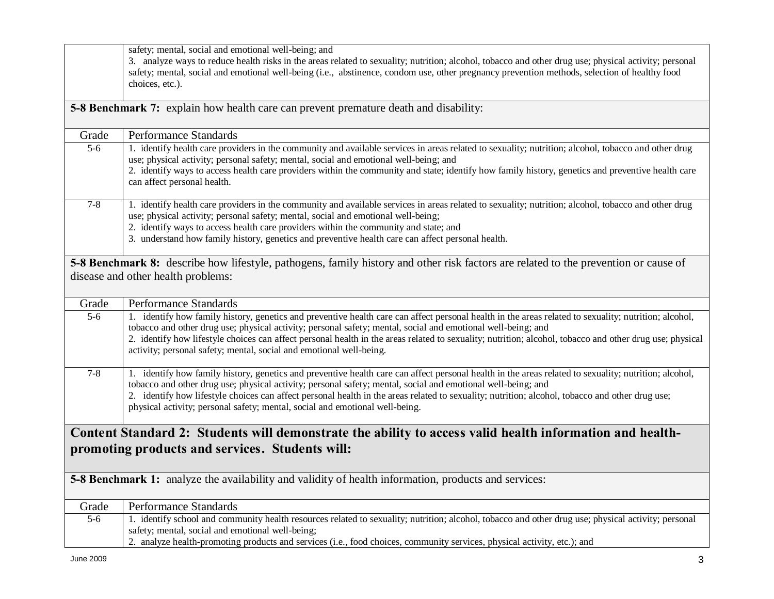|                  | safety; mental, social and emotional well-being; and                                                                                                     |
|------------------|----------------------------------------------------------------------------------------------------------------------------------------------------------|
|                  | 3. analyze ways to reduce health risks in the areas related to sexuality; nutrition; alcohol, tobacco and other drug use; physical activity; personal    |
|                  | safety; mental, social and emotional well-being (i.e., abstinence, condom use, other pregnancy prevention methods, selection of healthy food             |
|                  | choices, etc.).                                                                                                                                          |
|                  |                                                                                                                                                          |
|                  | <b>5-8 Benchmark 7:</b> explain how health care can prevent premature death and disability:                                                              |
|                  |                                                                                                                                                          |
| Grade            | Performance Standards                                                                                                                                    |
| $5-6$            | 1. identify health care providers in the community and available services in areas related to sexuality; nutrition; alcohol, tobacco and other drug      |
|                  | use; physical activity; personal safety; mental, social and emotional well-being; and                                                                    |
|                  | 2. identify ways to access health care providers within the community and state; identify how family history, genetics and preventive health care        |
|                  | can affect personal health.                                                                                                                              |
| $7 - 8$          | 1. identify health care providers in the community and available services in areas related to sexuality; nutrition; alcohol, tobacco and other drug      |
|                  | use; physical activity; personal safety; mental, social and emotional well-being;                                                                        |
|                  | 2. identify ways to access health care providers within the community and state; and                                                                     |
|                  | 3. understand how family history, genetics and preventive health care can affect personal health.                                                        |
|                  |                                                                                                                                                          |
|                  | 5-8 Benchmark 8: describe how lifestyle, pathogens, family history and other risk factors are related to the prevention or cause of                      |
|                  | disease and other health problems:                                                                                                                       |
|                  |                                                                                                                                                          |
| Grade            | Performance Standards                                                                                                                                    |
| $5-6$            | 1. identify how family history, genetics and preventive health care can affect personal health in the areas related to sexuality; nutrition; alcohol,    |
|                  | tobacco and other drug use; physical activity; personal safety; mental, social and emotional well-being; and                                             |
|                  | 2. identify how lifestyle choices can affect personal health in the areas related to sexuality; nutrition; alcohol, tobacco and other drug use; physical |
|                  | activity; personal safety; mental, social and emotional well-being.                                                                                      |
|                  |                                                                                                                                                          |
| $7 - 8$          | 1. identify how family history, genetics and preventive health care can affect personal health in the areas related to sexuality; nutrition; alcohol,    |
|                  | tobacco and other drug use; physical activity; personal safety; mental, social and emotional well-being; and                                             |
|                  | 2. identify how lifestyle choices can affect personal health in the areas related to sexuality; nutrition; alcohol, tobacco and other drug use;          |
|                  | physical activity; personal safety; mental, social and emotional well-being.                                                                             |
|                  |                                                                                                                                                          |
|                  | Content Standard 2: Students will demonstrate the ability to access valid health information and health-                                                 |
|                  | promoting products and services. Students will:                                                                                                          |
|                  |                                                                                                                                                          |
|                  | <b>5-8 Benchmark 1:</b> analyze the availability and validity of health information, products and services:                                              |
|                  |                                                                                                                                                          |
| Grade            | Performance Standards                                                                                                                                    |
| $\overline{5-6}$ | 1. identify school and community health resources related to sexuality; nutrition; alcohol, tobacco and other drug use; physical activity; personal      |
|                  | safety; mental, social and emotional well-being;                                                                                                         |
|                  | 2. analyze health-promoting products and services (i.e., food choices, community services, physical activity, etc.); and                                 |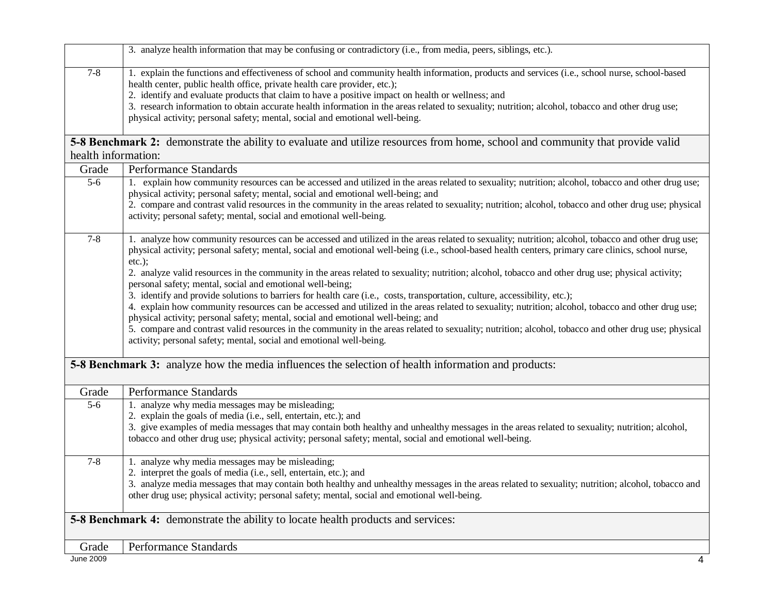|                                                                                                            | 3. analyze health information that may be confusing or contradictory (i.e., from media, peers, siblings, etc.).                                                                                                                                                                                                                                                                                                                                                                                                                                                                                                                                                                                                                                                                                                                                                                                                                                                                                                                                                                                                                                 |  |
|------------------------------------------------------------------------------------------------------------|-------------------------------------------------------------------------------------------------------------------------------------------------------------------------------------------------------------------------------------------------------------------------------------------------------------------------------------------------------------------------------------------------------------------------------------------------------------------------------------------------------------------------------------------------------------------------------------------------------------------------------------------------------------------------------------------------------------------------------------------------------------------------------------------------------------------------------------------------------------------------------------------------------------------------------------------------------------------------------------------------------------------------------------------------------------------------------------------------------------------------------------------------|--|
| $7 - 8$                                                                                                    | 1. explain the functions and effectiveness of school and community health information, products and services (i.e., school nurse, school-based<br>health center, public health office, private health care provider, etc.);<br>2. identify and evaluate products that claim to have a positive impact on health or wellness; and<br>3. research information to obtain accurate health information in the areas related to sexuality; nutrition; alcohol, tobacco and other drug use;<br>physical activity; personal safety; mental, social and emotional well-being.                                                                                                                                                                                                                                                                                                                                                                                                                                                                                                                                                                            |  |
| health information:                                                                                        | <b>5-8 Benchmark 2:</b> demonstrate the ability to evaluate and utilize resources from home, school and community that provide valid                                                                                                                                                                                                                                                                                                                                                                                                                                                                                                                                                                                                                                                                                                                                                                                                                                                                                                                                                                                                            |  |
| Grade                                                                                                      | Performance Standards                                                                                                                                                                                                                                                                                                                                                                                                                                                                                                                                                                                                                                                                                                                                                                                                                                                                                                                                                                                                                                                                                                                           |  |
| $5-6$                                                                                                      | 1. explain how community resources can be accessed and utilized in the areas related to sexuality; nutrition; alcohol, tobacco and other drug use;<br>physical activity; personal safety; mental, social and emotional well-being; and<br>2. compare and contrast valid resources in the community in the areas related to sexuality; nutrition; alcohol, tobacco and other drug use; physical<br>activity; personal safety; mental, social and emotional well-being.                                                                                                                                                                                                                                                                                                                                                                                                                                                                                                                                                                                                                                                                           |  |
| $7 - 8$                                                                                                    | 1. analyze how community resources can be accessed and utilized in the areas related to sexuality; nutrition; alcohol, tobacco and other drug use;<br>physical activity; personal safety; mental, social and emotional well-being (i.e., school-based health centers, primary care clinics, school nurse,<br>$etc.$ );<br>2. analyze valid resources in the community in the areas related to sexuality; nutrition; alcohol, tobacco and other drug use; physical activity;<br>personal safety; mental, social and emotional well-being;<br>3. identify and provide solutions to barriers for health care (i.e., costs, transportation, culture, accessibility, etc.);<br>4. explain how community resources can be accessed and utilized in the areas related to sexuality; nutrition; alcohol, tobacco and other drug use;<br>physical activity; personal safety; mental, social and emotional well-being; and<br>5. compare and contrast valid resources in the community in the areas related to sexuality; nutrition; alcohol, tobacco and other drug use; physical<br>activity; personal safety; mental, social and emotional well-being. |  |
| <b>5-8 Benchmark 3:</b> analyze how the media influences the selection of health information and products: |                                                                                                                                                                                                                                                                                                                                                                                                                                                                                                                                                                                                                                                                                                                                                                                                                                                                                                                                                                                                                                                                                                                                                 |  |
| Grade                                                                                                      | <b>Performance Standards</b>                                                                                                                                                                                                                                                                                                                                                                                                                                                                                                                                                                                                                                                                                                                                                                                                                                                                                                                                                                                                                                                                                                                    |  |
| $5-6$                                                                                                      | 1. analyze why media messages may be misleading;<br>2. explain the goals of media (i.e., sell, entertain, etc.); and<br>3. give examples of media messages that may contain both healthy and unhealthy messages in the areas related to sexuality; nutrition; alcohol,<br>tobacco and other drug use; physical activity; personal safety; mental, social and emotional well-being.                                                                                                                                                                                                                                                                                                                                                                                                                                                                                                                                                                                                                                                                                                                                                              |  |
| $7 - 8$                                                                                                    | 1. analyze why media messages may be misleading;<br>2. interpret the goals of media (i.e., sell, entertain, etc.); and<br>3. analyze media messages that may contain both healthy and unhealthy messages in the areas related to sexuality; nutrition; alcohol, tobacco and<br>other drug use; physical activity; personal safety; mental, social and emotional well-being.                                                                                                                                                                                                                                                                                                                                                                                                                                                                                                                                                                                                                                                                                                                                                                     |  |
| <b>5-8 Benchmark 4:</b> demonstrate the ability to locate health products and services:                    |                                                                                                                                                                                                                                                                                                                                                                                                                                                                                                                                                                                                                                                                                                                                                                                                                                                                                                                                                                                                                                                                                                                                                 |  |
| Grade                                                                                                      | Performance Standards                                                                                                                                                                                                                                                                                                                                                                                                                                                                                                                                                                                                                                                                                                                                                                                                                                                                                                                                                                                                                                                                                                                           |  |
| <b>June 2009</b>                                                                                           | 4                                                                                                                                                                                                                                                                                                                                                                                                                                                                                                                                                                                                                                                                                                                                                                                                                                                                                                                                                                                                                                                                                                                                               |  |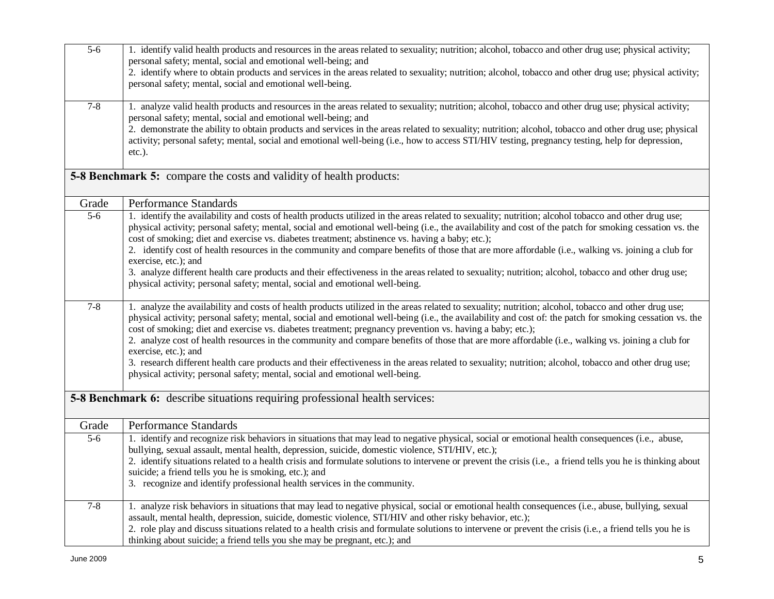| $5 - 6$          | 1. identify valid health products and resources in the areas related to sexuality; nutrition; alcohol, tobacco and other drug use; physical activity;                                                                |
|------------------|----------------------------------------------------------------------------------------------------------------------------------------------------------------------------------------------------------------------|
|                  | personal safety; mental, social and emotional well-being; and                                                                                                                                                        |
|                  | 2. identify where to obtain products and services in the areas related to sexuality; nutrition; alcohol, tobacco and other drug use; physical activity;                                                              |
|                  | personal safety; mental, social and emotional well-being.                                                                                                                                                            |
| $7 - 8$          | 1. analyze valid health products and resources in the areas related to sexuality; nutrition; alcohol, tobacco and other drug use; physical activity;                                                                 |
|                  | personal safety; mental, social and emotional well-being; and                                                                                                                                                        |
|                  | 2. demonstrate the ability to obtain products and services in the areas related to sexuality; nutrition; alcohol, tobacco and other drug use; physical                                                               |
|                  | activity; personal safety; mental, social and emotional well-being (i.e., how to access STI/HIV testing, pregnancy testing, help for depression,                                                                     |
|                  | $etc.$ ).                                                                                                                                                                                                            |
|                  | <b>5-8 Benchmark 5:</b> compare the costs and validity of health products:                                                                                                                                           |
|                  |                                                                                                                                                                                                                      |
| Grade            | Performance Standards                                                                                                                                                                                                |
| $\overline{5-6}$ | 1. identify the availability and costs of health products utilized in the areas related to sexuality; nutrition; alcohol tobacco and other drug use;                                                                 |
|                  | physical activity; personal safety; mental, social and emotional well-being (i.e., the availability and cost of the patch for smoking cessation vs. the                                                              |
|                  | cost of smoking; diet and exercise vs. diabetes treatment; abstinence vs. having a baby; etc.);                                                                                                                      |
|                  | 2. identify cost of health resources in the community and compare benefits of those that are more affordable (i.e., walking vs. joining a club for                                                                   |
|                  | exercise, etc.); and<br>3. analyze different health care products and their effectiveness in the areas related to sexuality; nutrition; alcohol, tobacco and other drug use;                                         |
|                  | physical activity; personal safety; mental, social and emotional well-being.                                                                                                                                         |
|                  |                                                                                                                                                                                                                      |
| $7 - 8$          | 1. analyze the availability and costs of health products utilized in the areas related to sexuality; nutrition; alcohol, tobacco and other drug use;                                                                 |
|                  | physical activity; personal safety; mental, social and emotional well-being (i.e., the availability and cost of: the patch for smoking cessation vs. the                                                             |
|                  | cost of smoking; diet and exercise vs. diabetes treatment; pregnancy prevention vs. having a baby; etc.);                                                                                                            |
|                  | 2. analyze cost of health resources in the community and compare benefits of those that are more affordable (i.e., walking vs. joining a club for<br>exercise, etc.); and                                            |
|                  | 3. research different health care products and their effectiveness in the areas related to sexuality; nutrition; alcohol, tobacco and other drug use;                                                                |
|                  | physical activity; personal safety; mental, social and emotional well-being.                                                                                                                                         |
|                  |                                                                                                                                                                                                                      |
|                  | <b>5-8 Benchmark 6:</b> describe situations requiring professional health services:                                                                                                                                  |
|                  |                                                                                                                                                                                                                      |
| Grade            | Performance Standards                                                                                                                                                                                                |
| $5 - 6$          | 1. identify and recognize risk behaviors in situations that may lead to negative physical, social or emotional health consequences (i.e., abuse,                                                                     |
|                  | bullying, sexual assault, mental health, depression, suicide, domestic violence, STI/HIV, etc.);                                                                                                                     |
|                  | 2. identify situations related to a health crisis and formulate solutions to intervene or prevent the crisis (i.e., a friend tells you he is thinking about<br>suicide; a friend tells you he is smoking, etc.); and |
|                  | 3. recognize and identify professional health services in the community.                                                                                                                                             |
|                  |                                                                                                                                                                                                                      |
| $7 - 8$          | 1. analyze risk behaviors in situations that may lead to negative physical, social or emotional health consequences (i.e., abuse, bullying, sexual                                                                   |
|                  | assault, mental health, depression, suicide, domestic violence, STI/HIV and other risky behavior, etc.);                                                                                                             |
|                  | 2. role play and discuss situations related to a health crisis and formulate solutions to intervene or prevent the crisis (i.e., a friend tells you he is                                                            |
|                  | thinking about suicide; a friend tells you she may be pregnant, etc.); and                                                                                                                                           |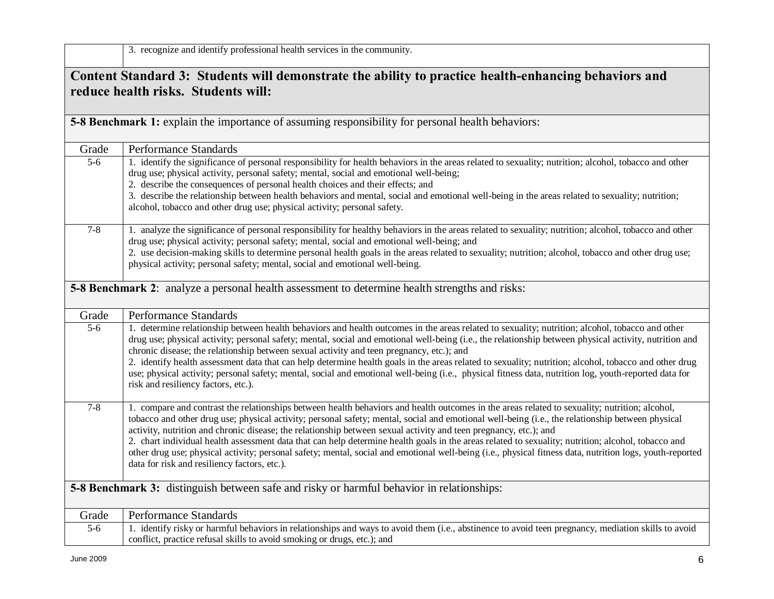3. recognize and identify professional health services in the community.

## **Content Standard 3: Students will demonstrate the ability to practice health-enhancing behaviors and reduce health risks. Students will:**

**5-8 Benchmark 1:** explain the importance of assuming responsibility for personal health behaviors:  $G_{\text{ref}}$  Performance Standards

| Grade   | Performance Standards                                                                                                                                                                                                                               |
|---------|-----------------------------------------------------------------------------------------------------------------------------------------------------------------------------------------------------------------------------------------------------|
| $5-6$   | 1. identify the significance of personal responsibility for health behaviors in the areas related to sexuality; nutrition; alcohol, tobacco and other                                                                                               |
|         | drug use; physical activity, personal safety; mental, social and emotional well-being;                                                                                                                                                              |
|         | 2. describe the consequences of personal health choices and their effects; and                                                                                                                                                                      |
|         | 3. describe the relationship between health behaviors and mental, social and emotional well-being in the areas related to sexuality; nutrition;                                                                                                     |
|         | alcohol, tobacco and other drug use; physical activity; personal safety.                                                                                                                                                                            |
|         |                                                                                                                                                                                                                                                     |
| $7 - 8$ | 1. analyze the significance of personal responsibility for healthy behaviors in the areas related to sexuality; nutrition; alcohol, tobacco and other<br>drug use; physical activity; personal safety; mental, social and emotional well-being; and |
|         | 2. use decision-making skills to determine personal health goals in the areas related to sexuality; nutrition; alcohol, tobacco and other drug use;                                                                                                 |
|         | physical activity; personal safety; mental, social and emotional well-being.                                                                                                                                                                        |
|         |                                                                                                                                                                                                                                                     |
|         | 5-8 Benchmark 2: analyze a personal health assessment to determine health strengths and risks:                                                                                                                                                      |
|         |                                                                                                                                                                                                                                                     |
|         |                                                                                                                                                                                                                                                     |
| Grade   | <b>Performance Standards</b>                                                                                                                                                                                                                        |
| $5-6$   | 1. determine relationship between health behaviors and health outcomes in the areas related to sexuality; nutrition; alcohol, tobacco and other                                                                                                     |
|         | drug use; physical activity; personal safety; mental, social and emotional well-being (i.e., the relationship between physical activity, nutrition and<br>chronic disease; the relationship between sexual activity and teen pregnancy, etc.); and  |
|         | 2. identify health assessment data that can help determine health goals in the areas related to sexuality; nutrition; alcohol, tobacco and other drug                                                                                               |
|         | use; physical activity; personal safety; mental, social and emotional well-being (i.e., physical fitness data, nutrition log, youth-reported data for                                                                                               |
|         | risk and resiliency factors, etc.).                                                                                                                                                                                                                 |
|         |                                                                                                                                                                                                                                                     |
| $7 - 8$ | 1. compare and contrast the relationships between health behaviors and health outcomes in the areas related to sexuality; nutrition; alcohol,                                                                                                       |
|         | tobacco and other drug use; physical activity; personal safety; mental, social and emotional well-being (i.e., the relationship between physical                                                                                                    |
|         | activity, nutrition and chronic disease; the relationship between sexual activity and teen pregnancy, etc.); and                                                                                                                                    |
|         | 2. chart individual health assessment data that can help determine health goals in the areas related to sexuality; nutrition; alcohol, tobacco and                                                                                                  |
|         | other drug use; physical activity; personal safety; mental, social and emotional well-being (i.e., physical fitness data, nutrition logs, youth-reported                                                                                            |
|         | data for risk and resiliency factors, etc.).                                                                                                                                                                                                        |
|         |                                                                                                                                                                                                                                                     |
|         | <b>5-8 Benchmark 3:</b> distinguish between safe and risky or harmful behavior in relationships:                                                                                                                                                    |
|         |                                                                                                                                                                                                                                                     |
| Grade   | <b>Performance Standards</b>                                                                                                                                                                                                                        |
| $5-6$   | 1. identify risky or harmful behaviors in relationships and ways to avoid them (i.e., abstinence to avoid teen pregnancy, mediation skills to avoid                                                                                                 |
|         | conflict, practice refusal skills to avoid smoking or drugs, etc.); and                                                                                                                                                                             |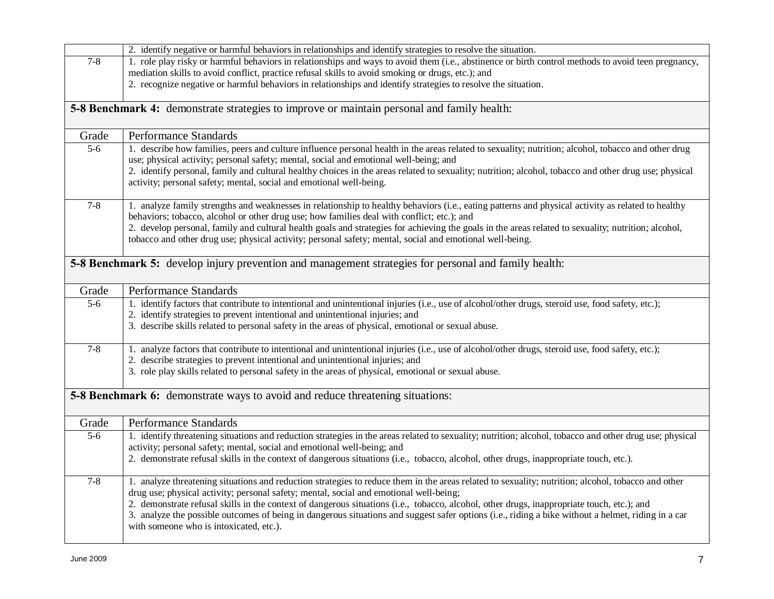|                  | 2. identify negative or harmful behaviors in relationships and identify strategies to resolve the situation.                                                                                                                         |
|------------------|--------------------------------------------------------------------------------------------------------------------------------------------------------------------------------------------------------------------------------------|
| $7 - 8$          | 1. role play risky or harmful behaviors in relationships and ways to avoid them (i.e., abstinence or birth control methods to avoid teen pregnancy,                                                                                  |
|                  | mediation skills to avoid conflict, practice refusal skills to avoid smoking or drugs, etc.); and                                                                                                                                    |
|                  | 2. recognize negative or harmful behaviors in relationships and identify strategies to resolve the situation.                                                                                                                        |
|                  |                                                                                                                                                                                                                                      |
|                  | 5-8 Benchmark 4: demonstrate strategies to improve or maintain personal and family health:                                                                                                                                           |
|                  |                                                                                                                                                                                                                                      |
| Grade            | Performance Standards                                                                                                                                                                                                                |
| $\overline{5-6}$ | 1. describe how families, peers and culture influence personal health in the areas related to sexuality; nutrition; alcohol, tobacco and other drug                                                                                  |
|                  | use; physical activity; personal safety; mental, social and emotional well-being; and                                                                                                                                                |
|                  | 2. identify personal, family and cultural healthy choices in the areas related to sexuality; nutrition; alcohol, tobacco and other drug use; physical                                                                                |
|                  | activity; personal safety; mental, social and emotional well-being.                                                                                                                                                                  |
| $7 - 8$          | 1. analyze family strengths and weaknesses in relationship to healthy behaviors (i.e., eating patterns and physical activity as related to healthy                                                                                   |
|                  | behaviors; tobacco, alcohol or other drug use; how families deal with conflict; etc.); and                                                                                                                                           |
|                  | 2. develop personal, family and cultural health goals and strategies for achieving the goals in the areas related to sexuality; nutrition; alcohol,                                                                                  |
|                  | tobacco and other drug use; physical activity; personal safety; mental, social and emotional well-being.                                                                                                                             |
|                  |                                                                                                                                                                                                                                      |
|                  | 5-8 Benchmark 5: develop injury prevention and management strategies for personal and family health:                                                                                                                                 |
|                  |                                                                                                                                                                                                                                      |
| Grade            | Performance Standards                                                                                                                                                                                                                |
| $5 - 6$          | 1. identify factors that contribute to intentional and unintentional injuries (i.e., use of alcohol/other drugs, steroid use, food safety, etc.);                                                                                    |
|                  | 2. identify strategies to prevent intentional and unintentional injuries; and                                                                                                                                                        |
|                  | 3. describe skills related to personal safety in the areas of physical, emotional or sexual abuse.                                                                                                                                   |
| $7 - 8$          | 1. analyze factors that contribute to intentional and unintentional injuries (i.e., use of alcohol/other drugs, steroid use, food safety, etc.);                                                                                     |
|                  | 2. describe strategies to prevent intentional and unintentional injuries; and                                                                                                                                                        |
|                  | 3. role play skills related to personal safety in the areas of physical, emotional or sexual abuse.                                                                                                                                  |
|                  |                                                                                                                                                                                                                                      |
|                  | <b>5-8 Benchmark 6:</b> demonstrate ways to avoid and reduce threatening situations:                                                                                                                                                 |
|                  |                                                                                                                                                                                                                                      |
| Grade            | Performance Standards                                                                                                                                                                                                                |
| $\overline{5-6}$ | 1. identify threatening situations and reduction strategies in the areas related to sexuality; nutrition; alcohol, tobacco and other drug use; physical                                                                              |
|                  | activity; personal safety; mental, social and emotional well-being; and                                                                                                                                                              |
|                  | 2. demonstrate refusal skills in the context of dangerous situations (i.e., tobacco, alcohol, other drugs, inappropriate touch, etc.).                                                                                               |
|                  |                                                                                                                                                                                                                                      |
| $7 - 8$          | 1. analyze threatening situations and reduction strategies to reduce them in the areas related to sexuality; nutrition; alcohol, tobacco and other                                                                                   |
|                  | drug use; physical activity; personal safety; mental, social and emotional well-being;<br>2. demonstrate refusal skills in the context of dangerous situations (i.e., tobacco, alcohol, other drugs, inappropriate touch, etc.); and |
|                  | 3. analyze the possible outcomes of being in dangerous situations and suggest safer options (i.e., riding a bike without a helmet, riding in a car                                                                                   |
|                  | with someone who is intoxicated, etc.).                                                                                                                                                                                              |
|                  |                                                                                                                                                                                                                                      |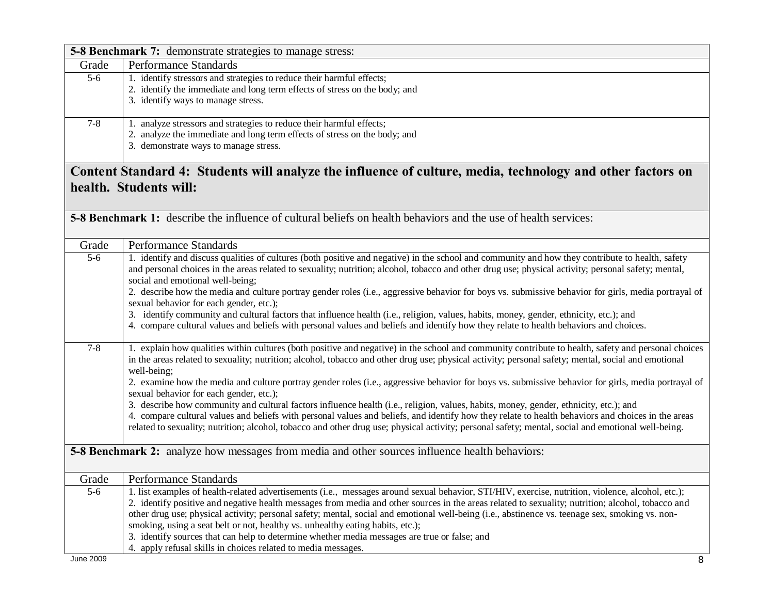|                  | <b>5-8 Benchmark 7:</b> demonstrate strategies to manage stress:                                                                                                                                                                  |
|------------------|-----------------------------------------------------------------------------------------------------------------------------------------------------------------------------------------------------------------------------------|
| Grade            | Performance Standards                                                                                                                                                                                                             |
| $5-6$            | 1. identify stressors and strategies to reduce their harmful effects;                                                                                                                                                             |
|                  | 2. identify the immediate and long term effects of stress on the body; and                                                                                                                                                        |
|                  | 3. identify ways to manage stress.                                                                                                                                                                                                |
| $7 - 8$          | 1. analyze stressors and strategies to reduce their harmful effects;                                                                                                                                                              |
|                  | 2. analyze the immediate and long term effects of stress on the body; and                                                                                                                                                         |
|                  | 3. demonstrate ways to manage stress.                                                                                                                                                                                             |
|                  |                                                                                                                                                                                                                                   |
|                  | Content Standard 4: Students will analyze the influence of culture, media, technology and other factors on                                                                                                                        |
|                  | health. Students will:                                                                                                                                                                                                            |
|                  |                                                                                                                                                                                                                                   |
|                  | <b>5-8 Benchmark 1:</b> describe the influence of cultural beliefs on health behaviors and the use of health services:                                                                                                            |
|                  |                                                                                                                                                                                                                                   |
| Grade            | <b>Performance Standards</b>                                                                                                                                                                                                      |
| $5-6$            | 1. identify and discuss qualities of cultures (both positive and negative) in the school and community and how they contribute to health, safety                                                                                  |
|                  | and personal choices in the areas related to sexuality; nutrition; alcohol, tobacco and other drug use; physical activity; personal safety; mental,                                                                               |
|                  | social and emotional well-being;                                                                                                                                                                                                  |
|                  | 2. describe how the media and culture portray gender roles (i.e., aggressive behavior for boys vs. submissive behavior for girls, media portrayal of                                                                              |
|                  | sexual behavior for each gender, etc.);                                                                                                                                                                                           |
|                  | 3. identify community and cultural factors that influence health (i.e., religion, values, habits, money, gender, ethnicity, etc.); and                                                                                            |
|                  | 4. compare cultural values and beliefs with personal values and beliefs and identify how they relate to health behaviors and choices.                                                                                             |
| $7 - 8$          | 1. explain how qualities within cultures (both positive and negative) in the school and community contribute to health, safety and personal choices                                                                               |
|                  | in the areas related to sexuality; nutrition; alcohol, tobacco and other drug use; physical activity; personal safety; mental, social and emotional                                                                               |
|                  | well-being;                                                                                                                                                                                                                       |
|                  | 2. examine how the media and culture portray gender roles (i.e., aggressive behavior for boys vs. submissive behavior for girls, media portrayal of                                                                               |
|                  | sexual behavior for each gender, etc.);                                                                                                                                                                                           |
|                  | 3. describe how community and cultural factors influence health (i.e., religion, values, habits, money, gender, ethnicity, etc.); and                                                                                             |
|                  | 4. compare cultural values and beliefs with personal values and beliefs, and identify how they relate to health behaviors and choices in the areas                                                                                |
|                  | related to sexuality; nutrition; alcohol, tobacco and other drug use; physical activity; personal safety; mental, social and emotional well-being.                                                                                |
|                  |                                                                                                                                                                                                                                   |
|                  | <b>5-8 Benchmark 2:</b> analyze how messages from media and other sources influence health behaviors:                                                                                                                             |
|                  |                                                                                                                                                                                                                                   |
| Grade            | <b>Performance Standards</b>                                                                                                                                                                                                      |
| $\overline{5-6}$ | 1. list examples of health-related advertisements (i.e., messages around sexual behavior, STI/HIV, exercise, nutrition, violence, alcohol, etc.);                                                                                 |
|                  | 2. identify positive and negative health messages from media and other sources in the areas related to sexuality; nutrition; alcohol, tobacco and                                                                                 |
|                  | other drug use; physical activity; personal safety; mental, social and emotional well-being (i.e., abstinence vs. teenage sex, smoking vs. non-<br>smoking, using a seat belt or not, healthy vs. unhealthy eating habits, etc.); |
|                  | 3. identify sources that can help to determine whether media messages are true or false; and                                                                                                                                      |
|                  | 4. apply refusal skills in choices related to media messages.                                                                                                                                                                     |
| <b>June 2009</b> | 8                                                                                                                                                                                                                                 |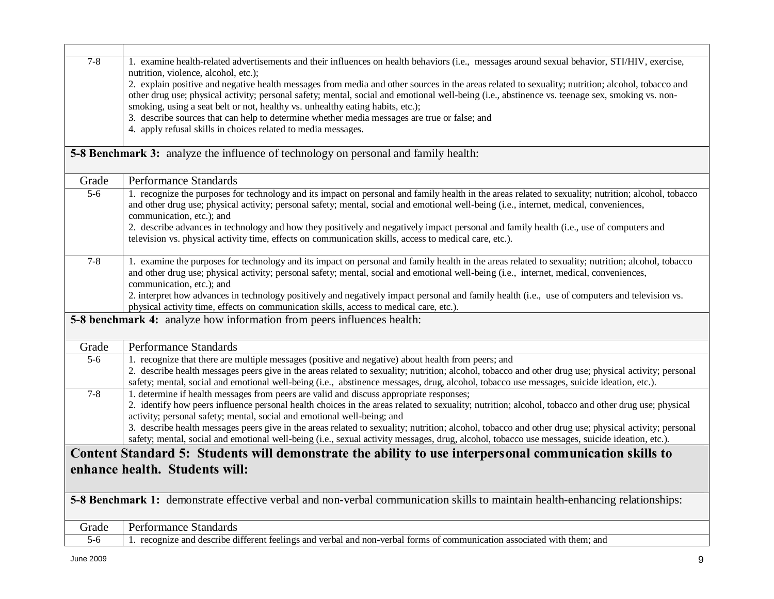| $7 - 8$          | 1. examine health-related advertisements and their influences on health behaviors (i.e., messages around sexual behavior, STI/HIV, exercise,<br>nutrition, violence, alcohol, etc.);<br>2. explain positive and negative health messages from media and other sources in the areas related to sexuality; nutrition; alcohol, tobacco and<br>other drug use; physical activity; personal safety; mental, social and emotional well-being (i.e., abstinence vs. teenage sex, smoking vs. non-<br>smoking, using a seat belt or not, healthy vs. unhealthy eating habits, etc.);<br>3. describe sources that can help to determine whether media messages are true or false; and<br>4. apply refusal skills in choices related to media messages. |
|------------------|------------------------------------------------------------------------------------------------------------------------------------------------------------------------------------------------------------------------------------------------------------------------------------------------------------------------------------------------------------------------------------------------------------------------------------------------------------------------------------------------------------------------------------------------------------------------------------------------------------------------------------------------------------------------------------------------------------------------------------------------|
|                  | <b>5-8 Benchmark 3:</b> analyze the influence of technology on personal and family health:                                                                                                                                                                                                                                                                                                                                                                                                                                                                                                                                                                                                                                                     |
| Grade            | Performance Standards                                                                                                                                                                                                                                                                                                                                                                                                                                                                                                                                                                                                                                                                                                                          |
| $\overline{5-6}$ | 1. recognize the purposes for technology and its impact on personal and family health in the areas related to sexuality; nutrition; alcohol, tobacco<br>and other drug use; physical activity; personal safety; mental, social and emotional well-being (i.e., internet, medical, conveniences,<br>communication, etc.); and<br>2. describe advances in technology and how they positively and negatively impact personal and family health (i.e., use of computers and<br>television vs. physical activity time, effects on communication skills, access to medical care, etc.).                                                                                                                                                              |
| $7 - 8$          | 1. examine the purposes for technology and its impact on personal and family health in the areas related to sexuality; nutrition; alcohol, tobacco<br>and other drug use; physical activity; personal safety; mental, social and emotional well-being (i.e., internet, medical, conveniences,<br>communication, etc.); and<br>2. interpret how advances in technology positively and negatively impact personal and family health (i.e., use of computers and television vs.<br>physical activity time, effects on communication skills, access to medical care, etc.).                                                                                                                                                                        |
|                  | <b>5-8 benchmark 4:</b> analyze how information from peers influences health:                                                                                                                                                                                                                                                                                                                                                                                                                                                                                                                                                                                                                                                                  |
| Grade            | Performance Standards                                                                                                                                                                                                                                                                                                                                                                                                                                                                                                                                                                                                                                                                                                                          |
| $5 - 6$          | 1. recognize that there are multiple messages (positive and negative) about health from peers; and<br>2. describe health messages peers give in the areas related to sexuality; nutrition; alcohol, tobacco and other drug use; physical activity; personal<br>safety; mental, social and emotional well-being (i.e., abstinence messages, drug, alcohol, tobacco use messages, suicide ideation, etc.).                                                                                                                                                                                                                                                                                                                                       |
| $7 - 8$          | 1. determine if health messages from peers are valid and discuss appropriate responses;<br>2. identify how peers influence personal health choices in the areas related to sexuality; nutrition; alcohol, tobacco and other drug use; physical<br>activity; personal safety; mental, social and emotional well-being; and<br>3. describe health messages peers give in the areas related to sexuality; nutrition; alcohol, tobacco and other drug use; physical activity; personal<br>safety; mental, social and emotional well-being (i.e., sexual activity messages, drug, alcohol, tobacco use messages, suicide ideation, etc.).                                                                                                           |
|                  | Content Standard 5: Students will demonstrate the ability to use interpersonal communication skills to<br>enhance health. Students will:                                                                                                                                                                                                                                                                                                                                                                                                                                                                                                                                                                                                       |
|                  | 5-8 Benchmark 1: demonstrate effective verbal and non-verbal communication skills to maintain health-enhancing relationships:                                                                                                                                                                                                                                                                                                                                                                                                                                                                                                                                                                                                                  |
| Grade            | Performance Standards                                                                                                                                                                                                                                                                                                                                                                                                                                                                                                                                                                                                                                                                                                                          |
| $\overline{5-6}$ | 1. recognize and describe different feelings and verbal and non-verbal forms of communication associated with them; and                                                                                                                                                                                                                                                                                                                                                                                                                                                                                                                                                                                                                        |

 $\Gamma$ 

┑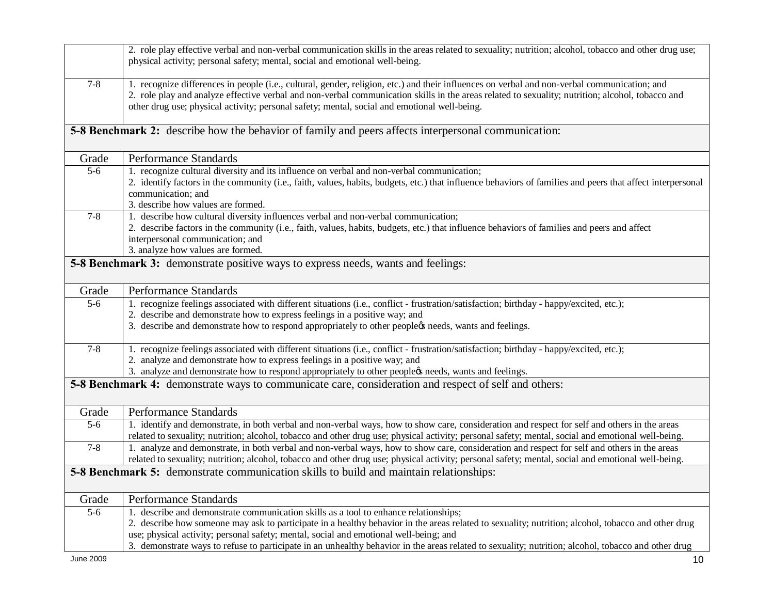|         | 2. role play effective verbal and non-verbal communication skills in the areas related to sexuality; nutrition; alcohol, tobacco and other drug use;<br>physical activity; personal safety; mental, social and emotional well-being.                                                                                                                                                             |
|---------|--------------------------------------------------------------------------------------------------------------------------------------------------------------------------------------------------------------------------------------------------------------------------------------------------------------------------------------------------------------------------------------------------|
| $7 - 8$ | 1. recognize differences in people (i.e., cultural, gender, religion, etc.) and their influences on verbal and non-verbal communication; and<br>2. role play and analyze effective verbal and non-verbal communication skills in the areas related to sexuality; nutrition; alcohol, tobacco and<br>other drug use; physical activity; personal safety; mental, social and emotional well-being. |
|         | <b>5-8 Benchmark 2:</b> describe how the behavior of family and peers affects interpersonal communication:                                                                                                                                                                                                                                                                                       |
| Grade   | Performance Standards                                                                                                                                                                                                                                                                                                                                                                            |
| $5-6$   | 1. recognize cultural diversity and its influence on verbal and non-verbal communication;                                                                                                                                                                                                                                                                                                        |
|         | 2. identify factors in the community (i.e., faith, values, habits, budgets, etc.) that influence behaviors of families and peers that affect interpersonal                                                                                                                                                                                                                                       |
|         | communication; and                                                                                                                                                                                                                                                                                                                                                                               |
|         | 3. describe how values are formed.                                                                                                                                                                                                                                                                                                                                                               |
| $7 - 8$ | 1. describe how cultural diversity influences verbal and non-verbal communication;                                                                                                                                                                                                                                                                                                               |
|         | 2. describe factors in the community (i.e., faith, values, habits, budgets, etc.) that influence behaviors of families and peers and affect                                                                                                                                                                                                                                                      |
|         | interpersonal communication; and<br>3. analyze how values are formed.                                                                                                                                                                                                                                                                                                                            |
|         | <b>5-8 Benchmark 3:</b> demonstrate positive ways to express needs, wants and feelings:                                                                                                                                                                                                                                                                                                          |
|         |                                                                                                                                                                                                                                                                                                                                                                                                  |
| Grade   | <b>Performance Standards</b>                                                                                                                                                                                                                                                                                                                                                                     |
| $5-6$   | 1. recognize feelings associated with different situations (i.e., conflict - frustration/satisfaction; birthday - happy/excited, etc.);                                                                                                                                                                                                                                                          |
|         | 2. describe and demonstrate how to express feelings in a positive way; and                                                                                                                                                                                                                                                                                                                       |
|         | 3. describe and demonstrate how to respond appropriately to other peoplecs needs, wants and feelings.                                                                                                                                                                                                                                                                                            |
| $7 - 8$ | 1. recognize feelings associated with different situations (i.e., conflict - frustration/satisfaction; birthday - happy/excited, etc.);                                                                                                                                                                                                                                                          |
|         | 2. analyze and demonstrate how to express feelings in a positive way; and                                                                                                                                                                                                                                                                                                                        |
|         | 3. analyze and demonstrate how to respond appropriately to other people¢s needs, wants and feelings.                                                                                                                                                                                                                                                                                             |
|         | 5-8 Benchmark 4: demonstrate ways to communicate care, consideration and respect of self and others:                                                                                                                                                                                                                                                                                             |
| Grade   | Performance Standards                                                                                                                                                                                                                                                                                                                                                                            |
| $5-6$   | 1. identify and demonstrate, in both verbal and non-verbal ways, how to show care, consideration and respect for self and others in the areas                                                                                                                                                                                                                                                    |
|         | related to sexuality; nutrition; alcohol, tobacco and other drug use; physical activity; personal safety; mental, social and emotional well-being.                                                                                                                                                                                                                                               |
| $7 - 8$ | 1. analyze and demonstrate, in both verbal and non-verbal ways, how to show care, consideration and respect for self and others in the areas                                                                                                                                                                                                                                                     |
|         | related to sexuality; nutrition; alcohol, tobacco and other drug use; physical activity; personal safety; mental, social and emotional well-being.                                                                                                                                                                                                                                               |
|         | 5-8 Benchmark 5: demonstrate communication skills to build and maintain relationships:                                                                                                                                                                                                                                                                                                           |
| Grade   | Performance Standards                                                                                                                                                                                                                                                                                                                                                                            |
| $5-6$   | 1. describe and demonstrate communication skills as a tool to enhance relationships;                                                                                                                                                                                                                                                                                                             |
|         | 2. describe how someone may ask to participate in a healthy behavior in the areas related to sexuality; nutrition; alcohol, tobacco and other drug                                                                                                                                                                                                                                               |
|         | use; physical activity; personal safety; mental, social and emotional well-being; and                                                                                                                                                                                                                                                                                                            |
|         | 3. demonstrate ways to refuse to participate in an unhealthy behavior in the areas related to sexuality; nutrition; alcohol, tobacco and other drug                                                                                                                                                                                                                                              |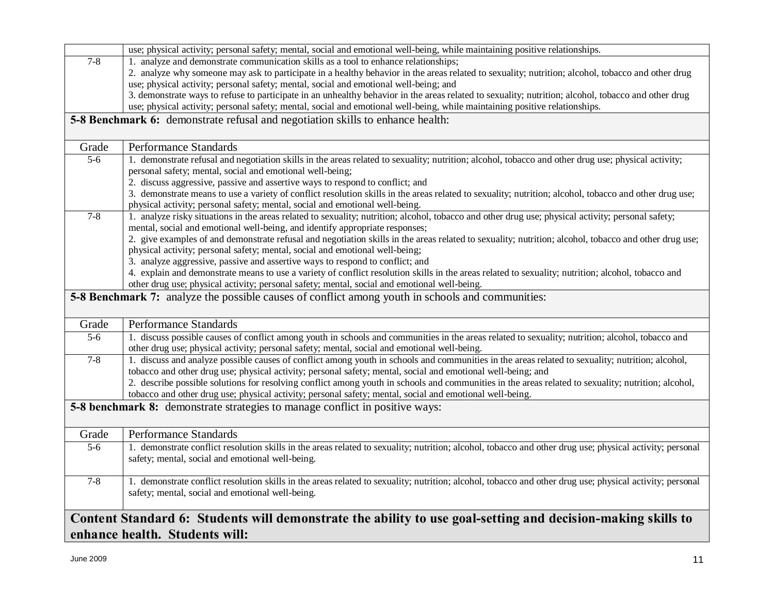|                                                                                     | use; physical activity; personal safety; mental, social and emotional well-being, while maintaining positive relationships.                              |
|-------------------------------------------------------------------------------------|----------------------------------------------------------------------------------------------------------------------------------------------------------|
| $7 - 8$                                                                             | 1. analyze and demonstrate communication skills as a tool to enhance relationships;                                                                      |
|                                                                                     | 2. analyze why someone may ask to participate in a healthy behavior in the areas related to sexuality; nutrition; alcohol, tobacco and other drug        |
|                                                                                     | use; physical activity; personal safety; mental, social and emotional well-being; and                                                                    |
|                                                                                     | 3. demonstrate ways to refuse to participate in an unhealthy behavior in the areas related to sexuality; nutrition; alcohol, tobacco and other drug      |
|                                                                                     | use; physical activity; personal safety; mental, social and emotional well-being, while maintaining positive relationships.                              |
|                                                                                     | 5-8 Benchmark 6: demonstrate refusal and negotiation skills to enhance health:                                                                           |
|                                                                                     |                                                                                                                                                          |
| Grade                                                                               | Performance Standards                                                                                                                                    |
| $\overline{5-6}$                                                                    | 1. demonstrate refusal and negotiation skills in the areas related to sexuality; nutrition; alcohol, tobacco and other drug use; physical activity;      |
|                                                                                     | personal safety; mental, social and emotional well-being;                                                                                                |
|                                                                                     | 2. discuss aggressive, passive and assertive ways to respond to conflict; and                                                                            |
|                                                                                     | 3. demonstrate means to use a variety of conflict resolution skills in the areas related to sexuality; nutrition; alcohol, tobacco and other drug use;   |
|                                                                                     | physical activity; personal safety; mental, social and emotional well-being.                                                                             |
| $7 - 8$                                                                             | 1. analyze risky situations in the areas related to sexuality; nutrition; alcohol, tobacco and other drug use; physical activity; personal safety;       |
|                                                                                     | mental, social and emotional well-being, and identify appropriate responses;                                                                             |
|                                                                                     | 2. give examples of and demonstrate refusal and negotiation skills in the areas related to sexuality; nutrition; alcohol, tobacco and other drug use;    |
|                                                                                     | physical activity; personal safety; mental, social and emotional well-being;                                                                             |
|                                                                                     | 3. analyze aggressive, passive and assertive ways to respond to conflict; and                                                                            |
|                                                                                     | 4. explain and demonstrate means to use a variety of conflict resolution skills in the areas related to sexuality; nutrition; alcohol, tobacco and       |
|                                                                                     | other drug use; physical activity; personal safety; mental, social and emotional well-being.                                                             |
|                                                                                     | <b>5-8 Benchmark 7:</b> analyze the possible causes of conflict among youth in schools and communities:                                                  |
| Grade                                                                               | Performance Standards                                                                                                                                    |
| $5-6$                                                                               | 1. discuss possible causes of conflict among youth in schools and communities in the areas related to sexuality; nutrition; alcohol, tobacco and         |
|                                                                                     | other drug use; physical activity; personal safety; mental, social and emotional well-being.                                                             |
| $7 - 8$                                                                             | 1. discuss and analyze possible causes of conflict among youth in schools and communities in the areas related to sexuality; nutrition; alcohol,         |
|                                                                                     | tobacco and other drug use; physical activity; personal safety; mental, social and emotional well-being; and                                             |
|                                                                                     | 2. describe possible solutions for resolving conflict among youth in schools and communities in the areas related to sexuality; nutrition; alcohol,      |
|                                                                                     | tobacco and other drug use; physical activity; personal safety; mental, social and emotional well-being.                                                 |
| <b>5-8 benchmark 8:</b> demonstrate strategies to manage conflict in positive ways: |                                                                                                                                                          |
| Grade                                                                               | Performance Standards                                                                                                                                    |
| $\overline{5-6}$                                                                    | 1. demonstrate conflict resolution skills in the areas related to sexuality; nutrition; alcohol, tobacco and other drug use; physical activity; personal |
|                                                                                     | safety; mental, social and emotional well-being.                                                                                                         |
|                                                                                     |                                                                                                                                                          |
| $7 - 8$                                                                             | 1. demonstrate conflict resolution skills in the areas related to sexuality; nutrition; alcohol, tobacco and other drug use; physical activity; personal |
|                                                                                     | safety; mental, social and emotional well-being.                                                                                                         |
|                                                                                     |                                                                                                                                                          |
|                                                                                     | Content Standard 6: Students will demonstrate the ability to use goal-setting and decision-making skills to                                              |
|                                                                                     |                                                                                                                                                          |
|                                                                                     | enhance health. Students will:                                                                                                                           |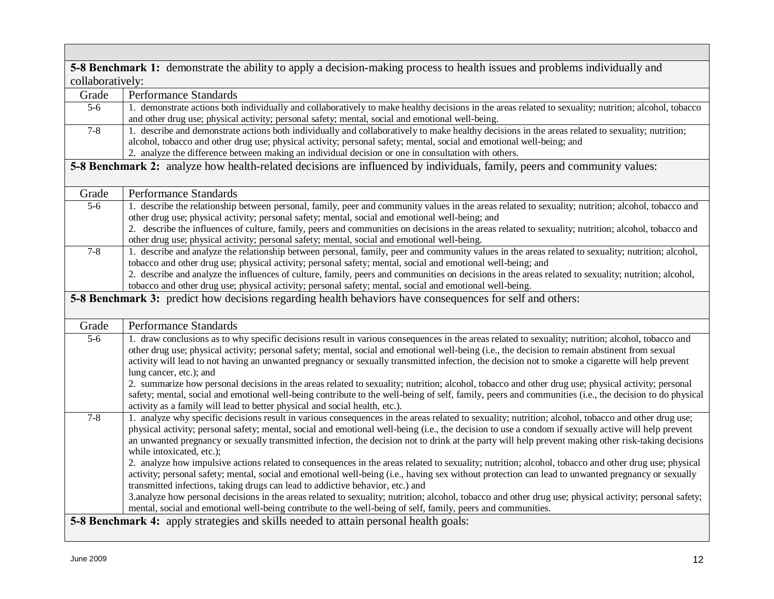|                  | 5-8 Benchmark 1: demonstrate the ability to apply a decision-making process to health issues and problems individually and                                                                                                                                                                                                                                                                                                                                                                       |
|------------------|--------------------------------------------------------------------------------------------------------------------------------------------------------------------------------------------------------------------------------------------------------------------------------------------------------------------------------------------------------------------------------------------------------------------------------------------------------------------------------------------------|
| collaboratively: |                                                                                                                                                                                                                                                                                                                                                                                                                                                                                                  |
| Grade            | Performance Standards                                                                                                                                                                                                                                                                                                                                                                                                                                                                            |
| $5-6$            | 1. demonstrate actions both individually and collaboratively to make healthy decisions in the areas related to sexuality; nutrition; alcohol, tobacco<br>and other drug use; physical activity; personal safety; mental, social and emotional well-being.                                                                                                                                                                                                                                        |
| $7 - 8$          | 1. describe and demonstrate actions both individually and collaboratively to make healthy decisions in the areas related to sexuality; nutrition;                                                                                                                                                                                                                                                                                                                                                |
|                  | alcohol, tobacco and other drug use; physical activity; personal safety; mental, social and emotional well-being; and<br>2. analyze the difference between making an individual decision or one in consultation with others.                                                                                                                                                                                                                                                                     |
|                  | <b>5-8 Benchmark 2:</b> analyze how health-related decisions are influenced by individuals, family, peers and community values:                                                                                                                                                                                                                                                                                                                                                                  |
| Grade            | Performance Standards                                                                                                                                                                                                                                                                                                                                                                                                                                                                            |
| $5-6$            | 1. describe the relationship between personal, family, peer and community values in the areas related to sexuality; nutrition; alcohol, tobacco and<br>other drug use; physical activity; personal safety; mental, social and emotional well-being; and                                                                                                                                                                                                                                          |
|                  | 2. describe the influences of culture, family, peers and communities on decisions in the areas related to sexuality; nutrition; alcohol, tobacco and<br>other drug use; physical activity; personal safety; mental, social and emotional well-being.                                                                                                                                                                                                                                             |
| $7 - 8$          | 1. describe and analyze the relationship between personal, family, peer and community values in the areas related to sexuality; nutrition; alcohol,                                                                                                                                                                                                                                                                                                                                              |
|                  | tobacco and other drug use; physical activity; personal safety; mental, social and emotional well-being; and                                                                                                                                                                                                                                                                                                                                                                                     |
|                  | 2. describe and analyze the influences of culture, family, peers and communities on decisions in the areas related to sexuality; nutrition; alcohol,<br>tobacco and other drug use; physical activity; personal safety; mental, social and emotional well-being.                                                                                                                                                                                                                                 |
|                  | <b>5-8 Benchmark 3:</b> predict how decisions regarding health behaviors have consequences for self and others:                                                                                                                                                                                                                                                                                                                                                                                  |
|                  |                                                                                                                                                                                                                                                                                                                                                                                                                                                                                                  |
| Grade            | <b>Performance Standards</b>                                                                                                                                                                                                                                                                                                                                                                                                                                                                     |
| $5 - 6$          | 1. draw conclusions as to why specific decisions result in various consequences in the areas related to sexuality; nutrition; alcohol, tobacco and<br>other drug use; physical activity; personal safety; mental, social and emotional well-being (i.e., the decision to remain abstinent from sexual<br>activity will lead to not having an unwanted pregnancy or sexually transmitted infection, the decision not to smoke a cigarette will help prevent<br>lung cancer, etc.); and            |
|                  | 2. summarize how personal decisions in the areas related to sexuality; nutrition; alcohol, tobacco and other drug use; physical activity; personal<br>safety; mental, social and emotional well-being contribute to the well-being of self, family, peers and communities (i.e., the decision to do physical<br>activity as a family will lead to better physical and social health, etc.).                                                                                                      |
| $7 - 8$          | 1. analyze why specific decisions result in various consequences in the areas related to sexuality; nutrition; alcohol, tobacco and other drug use;<br>physical activity; personal safety; mental, social and emotional well-being (i.e., the decision to use a condom if sexually active will help prevent<br>an unwanted pregnancy or sexually transmitted infection, the decision not to drink at the party will help prevent making other risk-taking decisions<br>while intoxicated, etc.); |
|                  | 2. analyze how impulsive actions related to consequences in the areas related to sexuality; nutrition; alcohol, tobacco and other drug use; physical<br>activity; personal safety; mental, social and emotional well-being (i.e., having sex without protection can lead to unwanted pregnancy or sexually<br>transmitted infections, taking drugs can lead to addictive behavior, etc.) and                                                                                                     |
|                  | 3.analyze how personal decisions in the areas related to sexuality; nutrition; alcohol, tobacco and other drug use; physical activity; personal safety;<br>mental, social and emotional well-being contribute to the well-being of self, family, peers and communities.                                                                                                                                                                                                                          |
|                  | <b>5-8 Benchmark 4:</b> apply strategies and skills needed to attain personal health goals:                                                                                                                                                                                                                                                                                                                                                                                                      |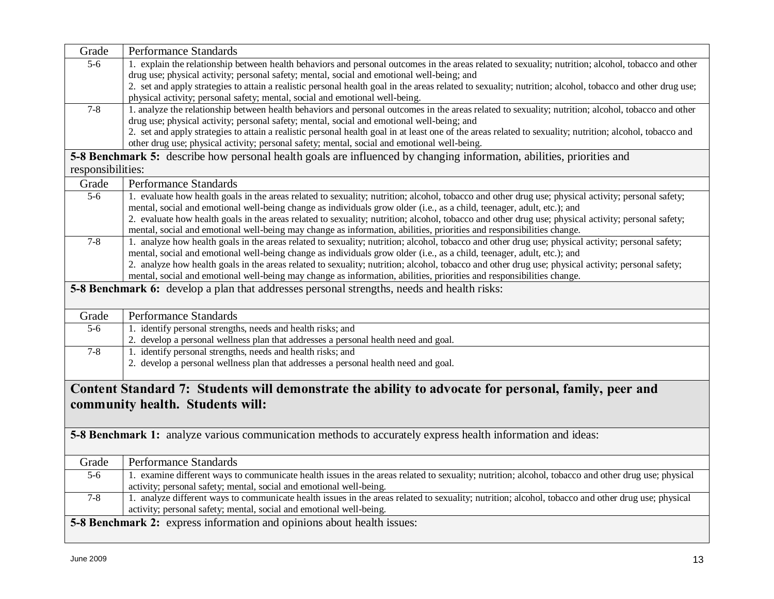| Grade             | Performance Standards                                                                                                                                                                                                                                                       |
|-------------------|-----------------------------------------------------------------------------------------------------------------------------------------------------------------------------------------------------------------------------------------------------------------------------|
| $\overline{5-6}$  | 1. explain the relationship between health behaviors and personal outcomes in the areas related to sexuality; nutrition; alcohol, tobacco and other                                                                                                                         |
|                   | drug use; physical activity; personal safety; mental, social and emotional well-being; and                                                                                                                                                                                  |
|                   | 2. set and apply strategies to attain a realistic personal health goal in the areas related to sexuality; nutrition; alcohol, tobacco and other drug use;                                                                                                                   |
|                   | physical activity; personal safety; mental, social and emotional well-being.                                                                                                                                                                                                |
| $7 - 8$           | 1. analyze the relationship between health behaviors and personal outcomes in the areas related to sexuality; nutrition; alcohol, tobacco and other                                                                                                                         |
|                   | drug use; physical activity; personal safety; mental, social and emotional well-being; and                                                                                                                                                                                  |
|                   | 2. set and apply strategies to attain a realistic personal health goal in at least one of the areas related to sexuality; nutrition; alcohol, tobacco and<br>other drug use; physical activity; personal safety; mental, social and emotional well-being.                   |
|                   | 5-8 Benchmark 5: describe how personal health goals are influenced by changing information, abilities, priorities and                                                                                                                                                       |
| responsibilities: |                                                                                                                                                                                                                                                                             |
| Grade             | Performance Standards                                                                                                                                                                                                                                                       |
| $5 - 6$           | 1. evaluate how health goals in the areas related to sexuality; nutrition; alcohol, tobacco and other drug use; physical activity; personal safety;                                                                                                                         |
|                   | mental, social and emotional well-being change as individuals grow older (i.e., as a child, teenager, adult, etc.); and                                                                                                                                                     |
|                   | 2. evaluate how health goals in the areas related to sexuality; nutrition; alcohol, tobacco and other drug use; physical activity; personal safety;                                                                                                                         |
|                   | mental, social and emotional well-being may change as information, abilities, priorities and responsibilities change.                                                                                                                                                       |
| $7 - 8$           | 1. analyze how health goals in the areas related to sexuality; nutrition; alcohol, tobacco and other drug use; physical activity; personal safety;                                                                                                                          |
|                   | mental, social and emotional well-being change as individuals grow older (i.e., as a child, teenager, adult, etc.); and                                                                                                                                                     |
|                   | 2. analyze how health goals in the areas related to sexuality; nutrition; alcohol, tobacco and other drug use; physical activity; personal safety;<br>mental, social and emotional well-being may change as information, abilities, priorities and responsibilities change. |
|                   | 5-8 Benchmark 6: develop a plan that addresses personal strengths, needs and health risks:                                                                                                                                                                                  |
|                   |                                                                                                                                                                                                                                                                             |
|                   | Performance Standards                                                                                                                                                                                                                                                       |
| Grade<br>$5 - 6$  |                                                                                                                                                                                                                                                                             |
|                   | 1. identify personal strengths, needs and health risks; and                                                                                                                                                                                                                 |
| $7 - 8$           | 2. develop a personal wellness plan that addresses a personal health need and goal.<br>1. identify personal strengths, needs and health risks; and                                                                                                                          |
|                   | 2. develop a personal wellness plan that addresses a personal health need and goal.                                                                                                                                                                                         |
|                   |                                                                                                                                                                                                                                                                             |
|                   | Content Standard 7: Students will demonstrate the ability to advocate for personal, family, peer and                                                                                                                                                                        |
|                   |                                                                                                                                                                                                                                                                             |
|                   | community health. Students will:                                                                                                                                                                                                                                            |
|                   |                                                                                                                                                                                                                                                                             |
|                   | 5-8 Benchmark 1: analyze various communication methods to accurately express health information and ideas:                                                                                                                                                                  |
|                   |                                                                                                                                                                                                                                                                             |
| Grade             | Performance Standards                                                                                                                                                                                                                                                       |
| $\overline{5-6}$  | 1. examine different ways to communicate health issues in the areas related to sexuality; nutrition; alcohol, tobacco and other drug use; physical                                                                                                                          |
|                   | activity; personal safety; mental, social and emotional well-being.                                                                                                                                                                                                         |
| $7 - 8$           | 1. analyze different ways to communicate health issues in the areas related to sexuality; nutrition; alcohol, tobacco and other drug use; physical                                                                                                                          |
|                   | activity; personal safety; mental, social and emotional well-being.                                                                                                                                                                                                         |
|                   | <b>5-8 Benchmark 2:</b> express information and opinions about health issues:                                                                                                                                                                                               |
|                   |                                                                                                                                                                                                                                                                             |